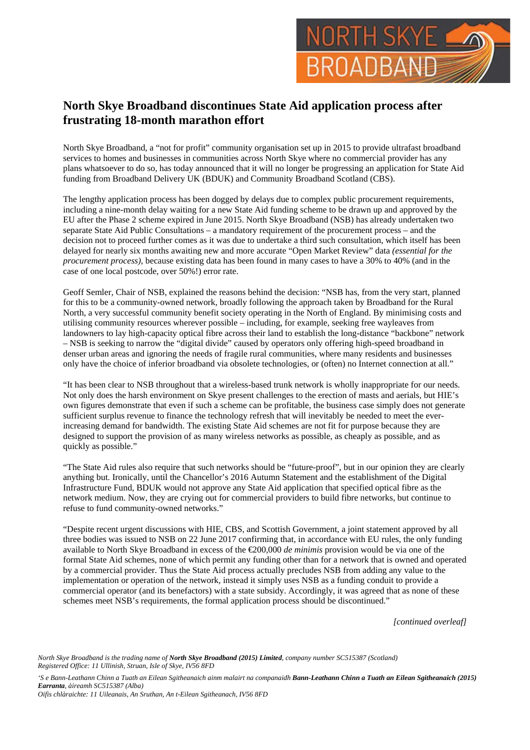

## **North Skye Broadband discontinues State Aid application process after frustrating 18-month marathon effort**

North Skye Broadband, a "not for profit" community organisation set up in 2015 to provide ultrafast broadband services to homes and businesses in communities across North Skye where no commercial provider has any plans whatsoever to do so, has today announced that it will no longer be progressing an application for State Aid funding from Broadband Delivery UK (BDUK) and Community Broadband Scotland (CBS).

The lengthy application process has been dogged by delays due to complex public procurement requirements, including a nine-month delay waiting for a new State Aid funding scheme to be drawn up and approved by the EU after the Phase 2 scheme expired in June 2015. North Skye Broadband (NSB) has already undertaken two separate State Aid Public Consultations – a mandatory requirement of the procurement process – and the decision not to proceed further comes as it was due to undertake a third such consultation, which itself has been delayed for nearly six months awaiting new and more accurate "Open Market Review" data *(essential for the procurement process)*, because existing data has been found in many cases to have a 30% to 40% (and in the case of one local postcode, over 50%!) error rate.

Geoff Semler, Chair of NSB, explained the reasons behind the decision: "NSB has, from the very start, planned for this to be a community-owned network, broadly following the approach taken by Broadband for the Rural North, a very successful community benefit society operating in the North of England. By minimising costs and utilising community resources wherever possible – including, for example, seeking free wayleaves from landowners to lay high-capacity optical fibre across their land to establish the long-distance "backbone" network – NSB is seeking to narrow the "digital divide" caused by operators only offering high-speed broadband in denser urban areas and ignoring the needs of fragile rural communities, where many residents and businesses only have the choice of inferior broadband via obsolete technologies, or (often) no Internet connection at all."

"It has been clear to NSB throughout that a wireless-based trunk network is wholly inappropriate for our needs. Not only does the harsh environment on Skye present challenges to the erection of masts and aerials, but HIE's own figures demonstrate that even if such a scheme can be profitable, the business case simply does not generate sufficient surplus revenue to finance the technology refresh that will inevitably be needed to meet the everincreasing demand for bandwidth. The existing State Aid schemes are not fit for purpose because they are designed to support the provision of as many wireless networks as possible, as cheaply as possible, and as quickly as possible."

"The State Aid rules also require that such networks should be "future-proof", but in our opinion they are clearly anything but. Ironically, until the Chancellor's 2016 Autumn Statement and the establishment of the Digital Infrastructure Fund, BDUK would not approve any State Aid application that specified optical fibre as the network medium. Now, they are crying out for commercial providers to build fibre networks, but continue to refuse to fund community-owned networks."

"Despite recent urgent discussions with HIE, CBS, and Scottish Government, a joint statement approved by all three bodies was issued to NSB on 22 June 2017 confirming that, in accordance with EU rules, the only funding available to North Skye Broadband in excess of the €200,000 *de minimis* provision would be via one of the formal State Aid schemes, none of which permit any funding other than for a network that is owned and operated by a commercial provider. Thus the State Aid process actually precludes NSB from adding any value to the implementation or operation of the network, instead it simply uses NSB as a funding conduit to provide a commercial operator (and its benefactors) with a state subsidy. Accordingly, it was agreed that as none of these schemes meet NSB's requirements, the formal application process should be discontinued."

*[continued overleaf]*

*North Skye Broadband is the trading name of North Skye Broadband (2015) Limited, company number SC515387 (Scotland) Registered Office: 11 Ullinish, Struan, Isle of Skye, IV56 8FD*

*'S e Bann-Leathann Chinn a Tuath an Eilean Sgitheanaich ainm malairt na companaidh Bann-Leathann Chinn a Tuath an Eilean Sgitheanaich (2015) Earranta, àireamh SC515387 (Alba) Oifis chlàraichte: 11 Uileanais, An Sruthan, An t-Eilean Sgitheanach, IV56 8FD*